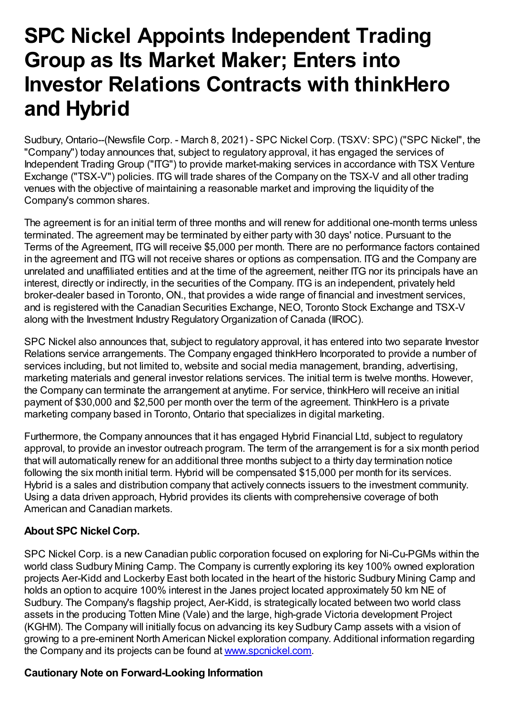## **SPC Nickel Appoints Independent Trading Group as Its Market Maker; Enters into Investor Relations Contracts with thinkHero and Hybrid**

Sudbury, Ontario--(Newsfile Corp. - March 8, 2021) - SPC Nickel Corp. (TSXV: SPC) ("SPC Nickel", the "Company") today announces that, subject to regulatory approval, it has engaged the services of Independent Trading Group ("ITG") to provide market-making services in accordance with TSX Venture Exchange ("TSX-V") policies. ITG will trade shares of the Company on the TSX-V and all other trading venues with the objective of maintaining a reasonable market and improving the liquidity of the Company's common shares.

The agreement is for an initial term of three months and will renew for additional one-month terms unless terminated. The agreement may be terminated by either party with 30 days' notice. Pursuant to the Terms of the Agreement, ITG will receive \$5,000 per month. There are no performance factors contained in the agreement and ITG will not receive shares or options as compensation. ITG and the Company are unrelated and unaffiliated entities and at the time of the agreement, neither ITG nor its principals have an interest, directly or indirectly, in the securities of the Company. ITG is an independent, privately held broker-dealer based in Toronto, ON., that provides a wide range of financial and investment services, and is registered with the Canadian Securities Exchange, NEO, Toronto Stock Exchange and TSX-V along with the Investment Industry RegulatoryOrganization of Canada (IIROC).

SPC Nickel also announces that, subject to regulatory approval, it has entered into two separate Investor Relations service arrangements. The Company engaged thinkHero Incorporated to provide a number of services including, but not limited to, website and social media management, branding, advertising, marketing materials and general investor relations services. The initial term is twelve months. However, the Company can terminate the arrangement at anytime. For service, thinkHero will receive an initial payment of \$30,000 and \$2,500 per month over the term of the agreement. ThinkHero is a private marketing company based in Toronto, Ontario that specializes in digital marketing.

Furthermore, the Company announces that it has engaged Hybrid Financial Ltd, subject to regulatory approval, to provide an investor outreach program. The term of the arrangement is for a six month period that will automatically renew for an additional three months subject to a thirty day termination notice following the six month initial term. Hybrid will be compensated \$15,000 per month for its services. Hybrid is a sales and distribution company that actively connects issuers to the investment community. Using a data driven approach, Hybrid provides its clients with comprehensive coverage of both American and Canadian markets.

## **About SPC Nickel Corp.**

SPC Nickel Corp. is a new Canadian public corporation focused on exploring for Ni-Cu-PGMs within the world class Sudbury Mining Camp. The Company is currently exploring its key 100% owned exploration projects Aer-Kidd and Lockerby East both located in the heart of the historic Sudbury Mining Camp and holds an option to acquire 100% interest in the Janes project located approximately 50 km NE of Sudbury. The Company's flagship project, Aer-Kidd, is strategically located between two world class assets in the producing Totten Mine (Vale) and the large, high-grade Victoria development Project (KGHM). The Company will initially focus on advancing its key Sudbury Camp assets with a vision of growing to a pre-eminent North American Nickel exploration company. Additional information regarding the Company and its projects can be found at [www.spcnickel.com.](https://www.newsfilecorp.com/redirect/ZPNvhDgqY)

## **Cautionary Note on Forward-Looking Information**